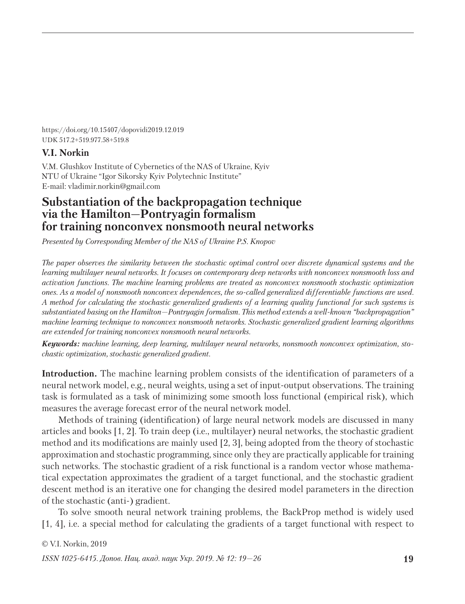https://doi.org/10.15407/dopovidi2019.12.019 UDK 517.2+519.977.58+519.8

## **V.I. Norkin**

V.M. Glushkov Institute of Cybernetics of the NAS of Ukraine, Kyiv NTU of Ukraine "Igor Sikorsky Kyiv Polytechnic Institute" E-mail: vladimir.norkin@gmail.com

# **Substantiation of the backpropagation technique via the Hamilton—Pontryagin formalism for training nonconvex nonsmooth neural networks**

*Presented by Corresponding Member of the NAS of Ukraine P.S. Knopov*

*The paper observes the similarity between the stochastic optimal control over discrete dynamical systems and the lear ning multilayer neural networks. It focuses on contemporary deep networks with nonconvex nonsmooth loss and activation functions. The machine learning problems are treated as nonconvex nonsmooth stochastic optimization ones. As a model of nonsmooth nonconvex dependences, the so-called generalized differentiable functions are used. A method for calculating the stochastic generalized gradients of a learning quality functional for such systems is substantiated basing on the Hamilton—Pontryagin formalism. This method extends a well-known "backpropagation" machine learning technique to nonconvex nonsmooth networks. Stochastic generalized gradient learning algorithms are extended for training nonconvex nonsmooth neural networks.*

*Keywords: machine learning, deep learning, multilayer neural networks, nonsmooth nonconvex optimization, stochastic optimization, stochastic generalized gradient.*

**Introduction.** The machine learning problem consists of the identification of parameters of a neural network model, e.g., neural weights, using a set of input-output observations. The training task is formulated as a task of minimizing some smooth loss functional (empirical risk), which measures the average forecast error of the neural network model.

Methods of training (identification) of large neural network models are discussed in many articles and books [1, 2]. To train deep (i.e., multilayer) neural networks, the stochastic gradient method and its modifications are mainly used [2, 3], being adopted from the theory of stochastic approximation and stochastic programming, since only they are practically applicable for training such networks. The stochastic gradient of a risk functional is a random vector whose mathematical expectation approximates the gradient of a target functional, and the stochastic gradient descent method is an iterative one for changing the desired model parameters in the direction of the stochastic (anti-) gradient.

To solve smooth neural network training problems, the BackProp method is widely used [1, 4], i.e. a special method for calculating the gradients of a target functional with respect to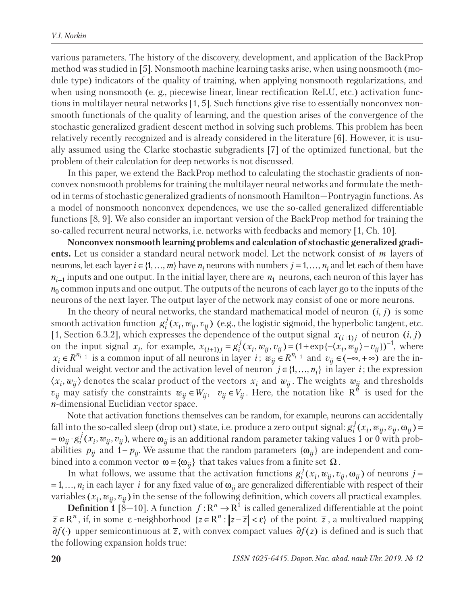various parameters. The history of the discovery, development, and application of the BackProp method was studied in [5]. Nonsmooth machine learning tasks arise, when using nonsmooth (module type) indicators of the quality of training, when applying nonsmooth regularizations, and when using nonsmooth (e. g., piecewise linear, linear rectification ReLU, etc.) activation functions in multilayer neural networks [1, 5]. Such functions give rise to essentially nonconvex nonsmooth functionals of the quality of learning, and the question arises of the convergence of the stochastic generalized gradient descent method in solving such problems. This problem has been relatively recently recognized and is already considered in the literature [6]. However, it is usually assumed using the Clarke stochastic subgradients [7] of the optimized functional, but the problem of their calculation for deep networks is not discussed.

In this paper, we extend the BackProp method to calculating the stochastic gradients of nonconvex nonsmooth problems for training the multilayer neural networks and formulate the method in terms of stochastic generalized gradients of nonsmooth Hamilton—Pontryagin functions. As a model of nonsmooth nonconvex dependences, we use the so-called generalized differentiable functions [8, 9]. We also consider an important version of the BackProp method for training the so-called recurrent neural networks, i.e. networks with feedbacks and memory [1, Ch. 10].

Nonconvex nonsmooth learning problems and calculation of stochastic generalized gradi**ents.** Let us consider a standard neural network model. Let the network consist of *m* layers of neurons, let each layer  $i \in \{1, ..., m\}$  have  $n_i$  neurons with numbers  $j = 1, ..., n_i$  and let each of them have  $n_{i-1}$  inputs and one output. In the initial layer, there are  $n_1$  neurons, each neuron of this layer has  $n_0$  common inputs and one output. The outputs of the neurons of each layer go to the inputs of the neurons of the next layer. The output layer of the network may consist of one or more neurons.

In the theory of neural networks, the standard mathematical model of neuron  $(i, j)$  is some smooth activation function  $g_i^j(x_i, w_{ij}, v_{ij})$  (e.g., the logistic sigmoid, the hyperbolic tangent, etc. [1, Section 6.3.2], which expresses the dependence of the output signal  $x_{(i+1)j}$  of neuron  $(i, j)$ on the input signal  $x_i$ , for example,  $x_{(i+1)j} = g_i^j(x_i, w_{ij}, v_{ij}) = (1 + \exp{\{-\langle x_i, w_{ij} \rangle - v_{ij}\}})^{-1}$ , where  $x_i \in R^{n_{i-1}}$  is a common input of all neurons in layer  $i$ ;  $w_{ij} \in R^{n_{i-1}}$  and  $v_{ij} \in (-\infty, +\infty)$  are the individual weight vector and the activation level of neuron  $j \in \{1, ..., n_i\}$  in layer *i*; the expression  $\langle x_i, w_{ij} \rangle$  denotes the scalar product of the vectors  $x_i$  and  $w_{ij}$ . The weights  $w_{ij}$  and thresholds  $v_{ij}$  may satisfy the constraints  $w_{ij} \in W_{ij}$ ,  $v_{ij} \in V_{ij}$ . Here, the notation like  $R^{\hat{n}}$  is used for the *n*-dimensional Euclidian vector space.

Note that activation functions themselves can be random, for example, neurons can accidentally fall into the so-called sleep (drop out) state, i.e. produce a zero output signal:  $g_i^j(x_i, w_{ij}, v_{ij}, \omega_{ij})$  =  $=\pmb{\omega}_{ij}\cdot g_i^{\ j} (x_i, w_{ij}, v_{ij}),$  where  $\pmb{\omega}_{ij}$  is an additional random parameter taking values 1 or 0 with probabilities  $p_{ij}$  and  $1 - p_{ij}$ . We assume that the random parameters  $\{\omega_{ij}\}\$ are independent and combined into a common vector  ${\bf ω} = {\omega_{ij}}$  that takes values from a finite set  $\Omega$ .

In what follows, we assume that the activation functions  $g_i^j(x_i, w_{ij}, v_{ij}, \omega_{ij})$  of neurons  $j =$  $= 1, ..., n_i$  in each layer *i* for any fixed value of  $\omega_{ij}$  are generalized differentiable with respect of their variables  $(x_i, w_{ii}, v_{ii})$  in the sense of the following definition, which covers all practical examples.

**Definition 1** [8–10]. A function  $f: \mathbb{R}^n \to \mathbb{R}^1$  is called generalized differentiable at the point  $\overline{z} \in \mathbb{R}^n$ , if, in some  $\varepsilon$ -neighborhood  $\{z \in \mathbb{R}^n : ||z - \overline{z}|| < \varepsilon\}$  of the point  $\overline{z}$ , a multivalued mapping ∂*f* ( $\cdot$ ) upper semicontinuous at  $\overline{z}$ , with convex compact values  $\partial f(z)$  is defined and is such that the following expansion holds true: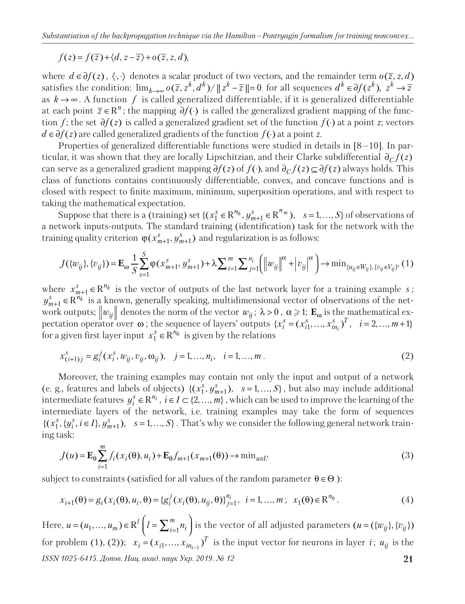$$
f(z) = f(\overline{z}) + \langle d, z - \overline{z} \rangle + o(\overline{z}, z, d),
$$

where  $d \in \partial f(z)$ ,  $\langle \cdot, \cdot \rangle$  denotes a scalar product of two vectors, and the remainder term  $o(\overline{z}, z, d)$ satisfies the condition:  $\lim_{k\to\infty} o(\overline{z}, z^k, d^k) / ||z^k - \overline{z}|| = 0$  for all sequences  $d^k \in \partial f(z^k), z^k \to \overline{z}$ as  $k \rightarrow \infty$ . A function f is called generalized differentiable, if it is generalized differentiable at each point  $\overline{z} \in \mathbb{R}^n$ ; the mapping  $\partial f(\cdot)$  is called the generalized gradient mapping of the function *f*; the set  $\partial f(z)$  is called a generalized gradient set of the function  $f(\cdot)$  at a point *z*; vectors *d* ∈∂*f*(*z*) are called generalized gradients of the function *f*(·) at a point *z*.

Properties of generalized differentiable functions were studied in details in [8—10]. In particular, it was shown that they are locally Lipschitzian, and their Clarke subdifferential  $\partial_C f(z)$ can serve as a generalized gradient mapping  $\partial f(z)$  of  $f(\cdot)$ , and  $\partial_C f(z) \subseteq \partial f(z)$  always holds. This class of functions contains continuously differentiable, convex, and concave functions and is closed with respect to finite maximum, minimum, superposition operations, and with respect to taking the mathematical expectation.

Suppose that there is a (training) set  $\{(x_1^s \in \mathbb{R}^{n_0}, y_{m+1}^s \in \mathbb{R}^{n_m}), s = 1, ..., S\}$  of observations of a network inputs-outputs. The standard training (identification) task for the network with the training quality criterion  $\varphi(x_{m+1}^s, y_{m+1}^s)$  and regularization is as follows:

$$
J(\{w_{ij}\}, \{v_{ij}\}) = \mathbf{E}_{\omega} \frac{1}{S} \sum_{s=1}^{S} \varphi(x_{m+1}^{s}, y_{m+1}^{s}) + \lambda \sum_{i=1}^{m} \sum_{j=1}^{n_{i}} \left( \left\| w_{ij} \right\|^{2} + \left| v_{ij} \right|^{2} \right) \to \min_{\{u_{ij} \in W_{ij}\}, \{v_{ij} \in V_{ij}\}} (1)
$$

where  $x_{m+1}^s \in \mathbb{R}^{n_k}$  is the vector of outputs of the last network layer for a training example *s*;  $y_{m+1}^s \in \mathbb{R}^{n_k}$  is a known, generally speaking, multidimensional vector of observations of the network outputs;  $\Vert w_{ij} \Vert$  denotes the norm of the vector  $w_{ij}$ ;  $\lambda > 0$ ,  $\alpha \geq 1$ ;  $\mathbf{E}_{\omega}$  is the mathematical expectation operator over  $\omega$ ; the sequence of layers' outputs  $\{x_i^s = (x_{i1}^s, ..., x_{in_i}^s)^T, \quad i = 2, ..., m+1\}$ for a given first layer input  $x_1^s \in \mathbb{R}^{n_0}$  is given by the relations

$$
x_{(i+1)j}^s = g_i^j(x_i^s, w_{ij}, v_{ij}, \omega_{ij}), \quad j = 1, ..., n_i, \quad i = 1, ..., m.
$$
 (2)

Moreover, the training examples may contain not only the input and output of a network (e. g., features and labels of objects)  $\{(x_1^s, y_{m+1}^s), s = 1, ..., S\}$ , but also may include additional intermediate features  $y_i^s \in \mathbb{R}^{n_i}$ ,  $i \in I \subset \{2, ..., m\}$ , which can be used to improve the learning of the intermediate layers of the network, i.e. training examples may take the form of sequences  $\{(x_1^s, \{y_i^s, i \in I\}, y_{m+1}^s), \quad s = 1, ..., S\}$ . That's why we consider the following general network training task:

$$
J(u) = \mathbf{E}_{\theta} \sum_{i=1}^{m} f_i(x_i(\theta), u_i) + \mathbf{E}_{\theta} f_{m+1}(x_{m+1}(\theta)) \to \min_{u \in U} (3)
$$

subject to constraints (satisfied for all values of the random parameter  $\theta \in \Theta$ ):

$$
x_{i+1}(\theta) = g_i(x_i(\theta), u_i, \theta) = \{g_i^j(x_i(\theta), u_{ij}, \theta)\}_{j=1}^{n_i}, \quad i = 1, ..., m; \quad x_1(\theta) \in \mathbb{R}^{n_0}.
$$
 (4)

*ISSN 1025-6415. Допов. Нац. акад. наук Укр. 2019. № 12* **21** Here,  $u = (u_1, ..., u_m) \in \text{R}^l\left(l = \sum_{i=1}^m n_i\right)$  is the vector of all adjusted parameters  $(u = (\{w_{ij}\}, \{v_{ij}\})$ for problem (1), (2));  $x_i = (x_{i1},...,x_{in_{i-1}})^T$  is the input vector for neurons in layer *i*;  $u_{ij}$  is the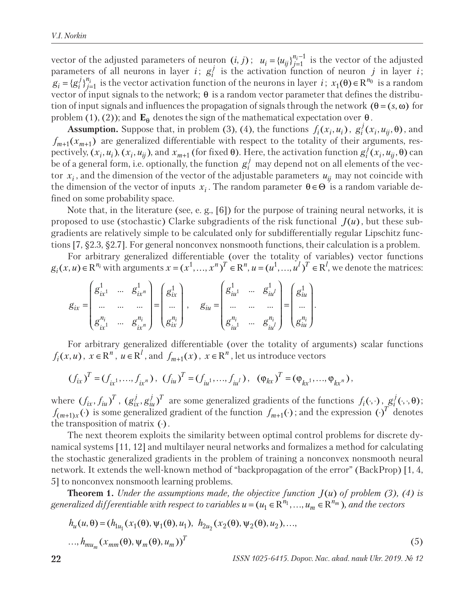vector of the adjusted parameters of neuron  $(i, j)$ ;  $u_i = \{u_{ij}\}_{j=1}^{n_i-1}$  is the vector of the adjusted parameters of all neurons in layer *i*;  $g_i^j$  is the activation function of neuron *j* in layer *i*;  $g_i = \{g_i^j\}_{j=1}^{n_i}$  is the vector activation function of the neurons in layer *i*;  $x_1(\theta) \in \mathbb{R}^{n_0}$  is a random vector of input signals to the network;  $\theta$  is a random vector parameter that defines the distribution of input signals and influences the propagation of signals through the network  $(\theta = (s, \omega)$  for problem (1), (2)); and  $\mathbf{E}_{\theta}$  denotes the sign of the mathematical expectation over  $\theta$ .

**Assumption.** Suppose that, in problem (3), (4), the functions  $f_i(x_i, u_i)$ ,  $g_i^j(x_i, u_{ij}, \theta)$ , and  $f_{m+1}(x_{m+1})$  are generalized differentiable with respect to the totality of their arguments, respectively,  $(x_i, u_i)$ ,  $(x_i, u_{ij})$ , and  $x_{m+1}$  (for fixed θ). Here, the activation function  $g_i^j(x_i, u_{ij}, θ)$  can be of a general form, i.e. optionally, the function  $g_i^j$  may depend not on all elements of the vector  $x_i$ , and the dimension of the vector of the adjustable parameters  $u_{ij}$  may not coincide with the dimension of the vector of inputs  $x_i$ . The random parameter  $\theta \in \Theta$  is a random variable defined on some probability space.

Note that, in the literature (see, e. g., [6]) for the purpose of training neural networks, it is proposed to use (stochastic) Clarke subgradients of the risk functional  $J(u)$ , but these subgradients are relatively simple to be calculated only for subdifferentially regular Lipschitz functions [7, §2.3, §2.7]. For general nonconvex nonsmooth functions, their calculation is a problem.

For arbitrary generalized differentiable (over the totality of variables) vector functions  $g_i(x, u) \in \mathbb{R}^{n_i}$  with arguments  $x = (x^1, \ldots, x^n)^T \in \mathbb{R}^n$ ,  $u = (u^1, \ldots, u^l)^T \in \mathbb{R}^l$ , we denote the matrices:

$$
g_{ix} = \begin{pmatrix} g_{ix}^1 & \cdots & g_{ix}^1 \\ \cdots & \cdots & \cdots \\ g_{ix}^{n_i} & \cdots & g_{ix}^{n_i} \end{pmatrix} = \begin{pmatrix} g_{ix}^1 \\ \cdots \\ g_{ix}^{n_i} \end{pmatrix}, \quad g_{iu} = \begin{pmatrix} g_{iu}^1 & \cdots & g_{iu}^1 \\ \cdots & \cdots & \cdots \\ g_{iu}^{n_i} & \cdots & g_{iu}^{n_i} \end{pmatrix} = \begin{pmatrix} g_{iu}^1 \\ g_{iu}^1 \\ \cdots \\ g_{iu}^{n_i} \end{pmatrix}.
$$

For arbitrary generalized differentiable (over the totality of arguments) scalar functions  $f_i(x, u)$ ,  $x \in \mathbb{R}^n$ ,  $u \in \mathbb{R}^l$ , and  $f_{m+1}(x)$ ,  $x \in \mathbb{R}^n$ , let us introduce vectors

$$
(f_{ix})^T = (f_{ix^1}, \ldots, f_{ix^n}), (f_{iu})^T = (f_{iu^1}, \ldots, f_{iu^l}), ( \varphi_{kx})^T = (\varphi_{kx^1}, \ldots, \varphi_{kx^n}),
$$

where  $(f_{ix}, f_{iu})^T$ ,  $(g_{ix}^j, g_{iu}^j)^T$  are some generalized gradients of the functions  $f_i(\cdot, \cdot)$ ,  $g_i^j(\cdot, \cdot, \theta)$ ;  $f_{(m+1)x}(\cdot)$  is some generalized gradient of the function  $f_{m+1}(\cdot)$ ; and the expression ( $\cdot$ )<sup>T</sup> denotes the transposition of matrix  $(·)$ .

The next theorem exploits the similarity between optimal control problems for discrete dynamical systems [11, 12] and multilayer neural networks and formalizes a method for calculating the stochastic generalized gradients in the problem of training a nonconvex nonsmooth neural network. It extends the well-known method of "backpropagation of the error" (BackProp) [1, 4, 5] to nonconvex nonsmooth learning problems.

**Theorem 1.** *Under the assumptions made, the objective function*  $J(u)$  *of problem (3), (4) is generalized differentiable with respect to variables*  $u = (u_1 \in \mathbb{R}^{n_1}, ..., u_m \in \mathbb{R}^{n_m})$ , and the vectors

$$
h_u(u, \theta) = (h_{1u_1}(x_1(\theta), \psi_1(\theta), u_1), h_{2u_2}(x_2(\theta), \psi_2(\theta), u_2), ..., \dots, h_{mu_m}(x_{mm}(\theta), \psi_m(\theta), u_m))^T
$$
\n(5)

**22** *ISSN 1025-6415. Dopov. Nac. akad. nauk Ukr. 2019. № 12*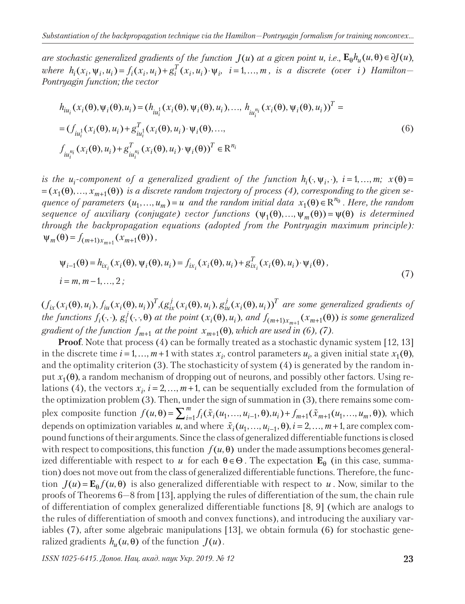*are stochastic generalized gradients of the function*  $J(u)$  *at a given point u, i.e.,*  $\mathbf{E}_{\theta}h_u(u, \theta) \in \partial J(u)$ ,  $where h_i(x_i, \Psi_i, u_i) = f_i(x_i, u_i) + g_i^T(x_i, u_i) \cdot \Psi_i$ ,  $i = 1, ..., m$ , is a discrete (over i) Hamilton-*Pontryagin function; the vector*

$$
h_{iu_i}(x_i(\theta), \psi_i(\theta), u_i) = (h_{iu_i^1}(x_i(\theta), \psi_i(\theta), u_i), ..., h_{iu_i^{n_i}}(x_i(\theta), \psi_i(\theta), u_i))^T =
$$
  
\n
$$
= (f_{iu_i^1}(x_i(\theta), u_i) + g_{iu_i^1}^T(x_i(\theta), u_i) \cdot \psi_i(\theta), ...,
$$
  
\n
$$
f_{iu_i^{n_i}}(x_i(\theta), u_i) + g_{iu_i^{n_i}}^T(x_i(\theta), u_i) \cdot \psi_i(\theta))^T \in \mathbb{R}^{n_i}
$$
 (6)

*is the u*<sub>*i*</sub>-component of a generalized gradient of the function  $h_i(\cdot, \psi_i, \cdot)$ ,  $i = 1, ..., m$ ;  $x(\theta) =$  $=(x_1(\theta),...,x_{m+1}(\theta))$  *is a discrete random trajectory of process (4), corresponding to the given sequence of parameters*  $(u_1, ..., u_m) = u$  *and the random initial data*  $x_1(\theta) \in \mathbb{R}^{n_0}$ . Here, the random *sequence of auxiliary (conjugate) vector functions*  $(\psi_1(\theta), ..., \psi_m(\theta)) = \psi(\theta)$  *is determined through the backpropagation equations (adopted from the Pontryagin maximum principle):*   $\Psi_m(\theta) = f_{(m+1)x_{m+1}}(x_{m+1}(\theta)),$ 

$$
\psi_{i-1}(\theta) = h_{ix_i}(x_i(\theta), \psi_i(\theta), u_i) = f_{ix_i}(x_i(\theta), u_i) + g_{ix_i}^T(x_i(\theta), u_i) \cdot \psi_i(\theta),
$$
  
\n
$$
i = m, m-1, ..., 2;
$$
\n(7)

 $(f_{ix}(x_i(\theta), u_i), f_{iu}(x_i(\theta), u_i))^T$ , $(g_{ix}^j(x_i(\theta), u_i), g_{iu}^j(x_i(\theta), u_i))^T$  are some generalized gradients of the functions  $f_i(\cdot, \cdot)$ ,  $g_i^j(\cdot, \cdot, \theta)$  at the point  $(x_i(\theta), u_i)$ , and  $f_{(m+1)x_{m+1}}(x_{m+1}(\theta))$  is some generalized *gradient of the function*  $f_{m+1}$  *at the point*  $x_{m+1}(\theta)$ *, which are used in (6), (7).* 

**Proof**. Note that process (4) can be formally treated as a stochastic dynamic system [12, 13] in the discrete time  $i = 1, ..., m+1$  with states  $x_i$ , control parameters  $u_i$ , a given initial state  $x_1(\theta)$ , and the optimality criterion  $(3)$ . The stochasticity of system  $(4)$  is generated by the random input  $x_1(\theta)$ , a random mechanism of dropping out of neurons, and possibly other factors. Using relations (4), the vectors  $x_i$ ,  $i = 2, ..., m+1$ , can be sequentially excluded from the formulation of the optimization problem (3). Then, under the sign of summation in (3), there remains some complex composite function  $f(u, \theta) = \sum_{i=1}^{m} f_i(\tilde{x}_i(u_1, ..., u_{i-1}, \theta), u_i) + f_{m+1}(\tilde{x}_{m+1}(u_1, ..., u_m, \theta))$ , which depends on optimization variables *u*, and where  $\tilde{x}_i (u_1, \ldots, u_{i-1}, \theta)$ ,  $i = 2, \ldots, m+1$ , are complex compound functions of their arguments. Since the class of generalized differentiable functions is closed with respect to compositions, this function  $f(u, \theta)$  under the made assumptions becomes generalized differentiable with respect to *u* for each  $\theta \in \Theta$ . The expectation  $\mathbf{E}_{\theta}$  (in this case, summation) does not move out from the class of generalized differentiable functions. Therefore, the function  $J(u) = \mathbf{E}_{\theta} f(u, \theta)$  is also generalized differentiable with respect to *u*. Now, similar to the proofs of Theorems 6—8 from [13], applying the rules of differentiation of the sum, the chain rule of differentiation of complex generalized differentiable functions [8, 9] (which are analogs to the rules of differentiation of smooth and convex functions), and introducing the auxiliary variables (7), after some algebraic manipulations [13], we obtain formula (6) for stochastic generalized gradients  $h_u(u, \theta)$  of the function  $J(u)$ .

*ISSN 1025-6415. Допов. Нац. акад. наук Укр. 2019. № 12* **23**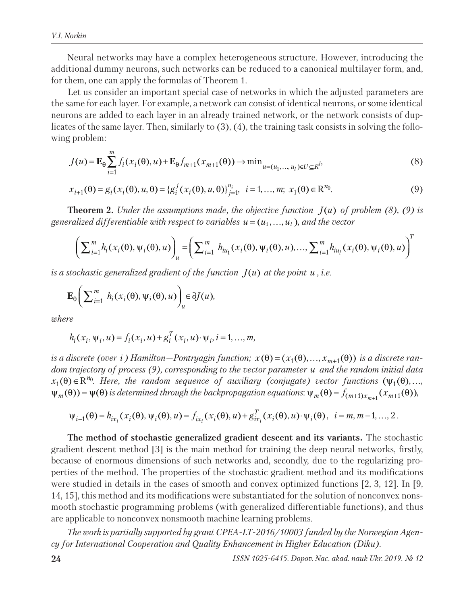Neural networks may have a complex heterogeneous structure. However, introducing the additional dummy neurons, such networks can be reduced to a canonical multilayer form, and, for them, one can apply the formulas of Theorem 1.

Let us consider an important special case of networks in which the adjusted parameters are the same for each layer. For example, a network can consist of identical neurons, or some identical neurons are added to each layer in an already trained network, or the network consists of duplicates of the same layer. Then, similarly to (3), (4), the training task consists in solving the following problem:

$$
J(u) = \mathbf{E}_{\theta} \sum_{i=1}^{m} f_i(x_i(\theta), u) + \mathbf{E}_{\theta} f_{m+1}(x_{m+1}(\theta)) \to \min_{u = (u_1, ..., u_l) \in U \subseteq R^l}
$$
 (8)

$$
x_{i+1}(\theta) = g_i(x_i(\theta), u, \theta) = \{g_i^j(x_i(\theta), u, \theta)\}_{j=1}^{n_i}, \quad i = 1, ..., m; \ x_1(\theta) \in \mathbb{R}^{n_0}.
$$
 (9)

**Theorem 2.** *Under the assumptions made, the objective function*  $J(u)$  *of problem (8), (9) is generalized differentiable with respect to variables*  $u = (u_1, \ldots, u_l)$ *, and the vector* 

$$
\left(\sum_{i=1}^{m} h_i(x_i(\theta), \psi_i(\theta), u)\right)_u = \left(\sum_{i=1}^{m} h_{iu_1}(x_i(\theta), \psi_i(\theta), u), \dots, \sum_{i=1}^{m} h_{iu_i}(x_i(\theta), \psi_i(\theta), u)\right)^T
$$

*is a stochastic generalized gradient of the function*  $J(u)$  *at the point u, i.e.* 

$$
\mathbf{E}_{\theta}\bigg(\sum_{i=1}^m h_i(x_i(\theta), \psi_i(\theta), u)\bigg)_u \in \partial J(u),
$$

*where*

$$
h_i(x_i, \psi_i, u) = f_i(x_i, u) + g_i^T(x_i, u) \cdot \psi_i, i = 1, ..., m,
$$

*is a discrete (over i)* Hamilton—Pontryagin function;  $x(\theta) = (x_1(\theta), ..., x_{m+1}(\theta))$  *is a discrete random trajectory of process (9), corresponding to the vector parameter u and the random initial data*   $x_1(\theta) \in \mathbb{R}^{n_0}$ . Here, the random sequence of auxiliary (conjugate) vector functions  $(\psi_1(\theta),...,\psi_n(\theta))$  $\psi_m(\theta)$  =  $\psi(\theta)$  is determined through the backpropagation equations:  $\psi_m(\theta)$  =  $f_{(m+1)x_{m+1}}(x_{m+1}(\theta))$ ,

$$
\psi_{i-1}(\theta) = h_{ix_i}(x_i(\theta), \psi_i(\theta), u) = f_{ix_i}(x_i(\theta), u) + g_{ix_i}^T(x_i(\theta), u) \cdot \psi_i(\theta), \quad i = m, m-1, ..., 2.
$$

**The method of stochastic generalized gradient descent and its variants.** The stochastic gradient descent method [3] is the main method for training the deep neural networks, firstly, because of enormous dimensions of such networks and, secondly, due to the regularizing properties of the method. The properties of the stochastic gradient method and its modifications were studied in details in the cases of smooth and convex optimized functions [2, 3, 12]. In [9, 14, 15], this method and its modifications were substantiated for the solution of nonconvex nonsmooth stochastic programming problems (with generalized differentiable functions), and thus are applicable to nonconvex nonsmooth machine learning problems.

*The work is partially supported by grant CPEA-LT-2016/10003 funded by the Norwegian Agency for International Cooperation and Quality Enhancement in Higher Education (Diku).*

**24** *ISSN 1025-6415. Dopov. Nac. akad. nauk Ukr. 2019. № 12*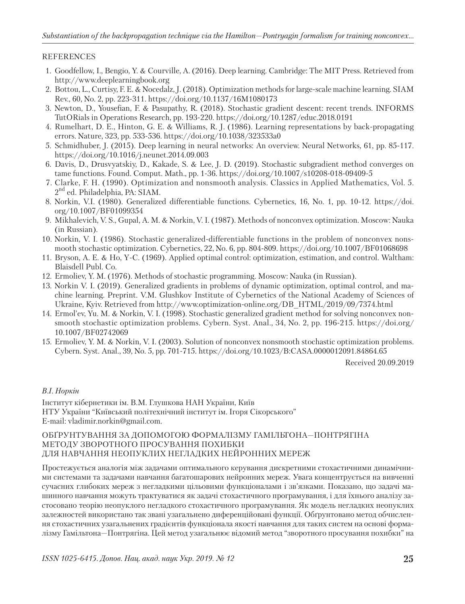## REFERENCES

- 1. Goodfellow, I., Bengio, Y. & Courville, A. (2016). Deep learning. Cambridge: The MIT Press. Retrieved from http://www.deeplearningbook.org
- 2. Bottou, L., Curtisy, F. E. & Nocedalz, J. (2018). Optimization methods for large-scale machine learning. SIAM Rev., 60, No. 2, pp. 223-311. https://doi.org/10.1137/16M1080173
- 3. Newton, D., Yousefian, F. & Pasupathy, R. (2018). Stochastic gradient descent: recent trends. INFORMS TutORials in Operations Research, pp. 193-220. https://doi.org/10.1287/educ.2018.0191
- 4. Rumelhart, D. E., Hinton, G. E. & Williams, R. J. (1986). Learning representations by back-propagating errors. Nature, 323, pp. 533-536. https://doi.org/10.1038/323533a0
- 5. Schmidhuber, J. (2015). Deep learning in neural networks: An overview. Neural Networks, 61, pp. 85-117. https://doi.org/10.1016/j.neunet.2014.09.003
- 6. Davis, D., Drusvyatskiy, D., Kakade, S. & Lee, J. D. (2019). Stochastic subgradient method converges on tame functions. Found. Comput. Math., pp. 1-36. https://doi.org/10.1007/s10208-018-09409-5
- 7. Clarke, F. H. (1990). Optimization and nonsmooth analysis. Classics in Applied Mathematics, Vol. 5.  $2<sup>nd</sup>$  ed. Philadelphia, PA: SIAM.
- 8. Norkin, V.I. (1980). Generalized differentiable functions. Cybernetics, 16, No. 1, pp. 10-12. https://doi. org/10.1007/BF01099354
- 9. Mikhalevich, V. S., Gupal, A. M. & Norkin, V. I. (1987). Methods of nonconvex optimization. Moscow: Nauka (in Russian).
- 10. Norkin, V. I. (1986). Stochastic generalized-differentiable functions in the problem of nonconvex nonsmooth stochastic optimization. Cybernetics, 22, No. 6, pp. 804-809. https://doi.org/10.1007/BF01068698
- 11. Bryson, A. E. & Ho, Y-C. (1969). Applied optimal control: optimization, estimation, and control. Waltham: Blaisdell Publ. Co.
- 12. Ermoliev, Y. M. (1976). Methods of stochastic programming. Moscow: Nauka (in Russian).
- 13. Norkin V. I. (2019). Generalized gradients in problems of dynamic optimization, optimal control, and machine learning. Preprint. V.M. Glushkov Institute of Cybernetics of the National Academy of Sciences of Ukraine, Kyiv. Retrieved from http://www.optimization-online.org/DB\_HTML/2019/09/7374.html
- 14. Ermol'ev, Yu. M. & Norkin, V. I. (1998). Stochastic generalized gradient method for solving nonconvex nonsmooth stochastic optimization problems. Cybern. Syst. Anal., 34, No. 2, pp. 196-215. https://doi.org/ 10.1007/BF02742069
- 15. Ermoliev, Y. M. & Norkin, V. I. (2003). Solution of nonconvex nonsmooth stochastic optimization problems. Cybern. Syst. Anal., 39, No. 5, pp. 701-715. https://doi.org/10.1023/B:CASA.0000012091.84864.65

Received 20.09.2019

### *В.І. Норкін*

Інститут кібернетики ім. В.М. Глушкова НАН України, Київ НТУ України "Київський політехнічний інститут ім. Ігоря Сікорського" E-mail: vladimir.norkin@gmail.com.

#### ОБҐРУНТУВАННЯ ЗА ДОПОМОГОЮ ФОРМАЛІЗМУ ГАМІЛЬТОНА—ПОНТРЯГІНА МЕТОДУ ЗВОРОТНОГО ПРОСУВАННЯ ПОХИБКИ ДЛЯ НАВЧАННЯ НЕОПУКЛИХ НЕГЛАДКИХ НЕЙРОННИХ МЕРЕЖ

Простежується аналогія між задачами оптимального керування дискретними стохастичними динамічними системами та задачами навчання багатошарових нейронних мереж. Увага концентрується на вивченні сучасних глибоких мереж з негладкими цільовими функціоналами і зв'язками. Показано, що задачі машинного навчання можуть трактуватися як задачі стохастичного програмування, і для їхнього аналізу застосовано теорію неопуклого негладкого стохастичного програмування. Як модель негладких неопуклих залежностей використано так звані узагальнено диференційовані функції. Обґрунтовано метод обчислення стохастичних узагальнених градієнтів функціонала якості навчання для таких систем на основі формалізму Гамільтона—Понтрягіна. Цей метод узагальнює відомий метод "зворотного просування похибки" на